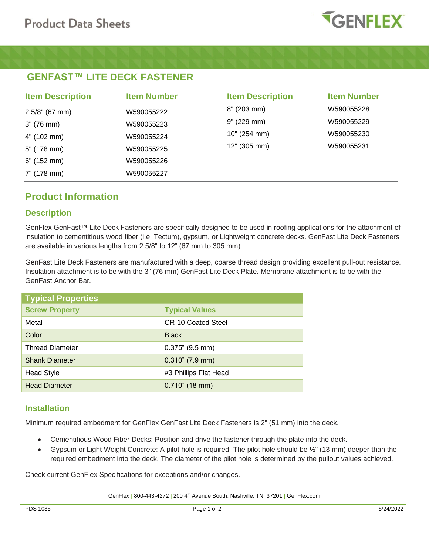

# **GENFAST™ LITE DECK FASTENER**

| <b>Item Description</b> | <b>Item Number</b> | <b>Item Description</b> | <b>Item Number</b> |
|-------------------------|--------------------|-------------------------|--------------------|
| $2.5/8$ " (67 mm)       | W590055222         | $8''$ (203 mm)          | W590055228         |
| 3" (76 mm)              | W590055223         | 9" (229 mm)             | W590055229         |
| 4" (102 mm)             | W590055224         | 10" (254 mm)            | W590055230         |
| 5" (178 mm)             | W590055225         | 12" (305 mm)            | W590055231         |
| $6"$ (152 mm)           | W590055226         |                         |                    |
| 7" (178 mm)             | W590055227         |                         |                    |

# **Product Information**

### **Description**

GenFlex GenFast™ Lite Deck Fasteners are specifically designed to be used in roofing applications for the attachment of insulation to cementitious wood fiber (i.e. Tectum), gypsum, or Lightweight concrete decks. GenFast Lite Deck Fasteners are available in various lengths from 2 5/8" to 12" (67 mm to 305 mm).

GenFast Lite Deck Fasteners are manufactured with a deep, coarse thread design providing excellent pull-out resistance. Insulation attachment is to be with the 3" (76 mm) GenFast Lite Deck Plate. Membrane attachment is to be with the GenFast Anchor Bar.

| <b>Typical Properties</b> |                           |  |  |
|---------------------------|---------------------------|--|--|
| <b>Screw Property</b>     | <b>Typical Values</b>     |  |  |
| Metal                     | <b>CR-10 Coated Steel</b> |  |  |
| Color                     | <b>Black</b>              |  |  |
| <b>Thread Diameter</b>    | $0.375$ " (9.5 mm)        |  |  |
| <b>Shank Diameter</b>     | $0.310$ " (7.9 mm)        |  |  |
| <b>Head Style</b>         | #3 Phillips Flat Head     |  |  |
| <b>Head Diameter</b>      | $0.710$ " (18 mm)         |  |  |

### **Installation**

Minimum required embedment for GenFlex GenFast Lite Deck Fasteners is 2" (51 mm) into the deck.

- Cementitious Wood Fiber Decks: Position and drive the fastener through the plate into the deck.
- Gypsum or Light Weight Concrete: A pilot hole is required. The pilot hole should be ½" (13 mm) deeper than the required embedment into the deck. The diameter of the pilot hole is determined by the pullout values achieved.

Check current GenFlex Specifications for exceptions and/or changes.

GenFlex | 800-443-4272 | 200 4<sup>th</sup> Avenue South, Nashville, TN 37201 | GenFlex.com